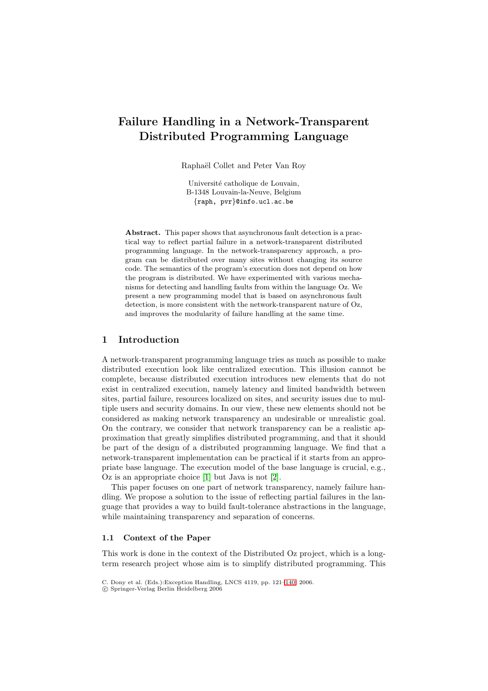# **Failure Handling in a Network-Transparent Distributed Programming Language**

Raphaël Collet and Peter Van Roy

Université catholique de Louvain, B-1348 Louvain-la-Neuve, Belgium {raph, pvr}@info.ucl.ac.be

**Abstract.** This paper shows that asynchronous fault detection is a practical way to reflect partial failure in a network-transparent distributed programming language. In the network-transparency approach, a program can be distributed over many sites without changing its source code. The semantics of the program's execution does not depend on how the program is distributed. We have experimented with various mechanisms for detecting and handling faults from within the language Oz. We present a new programming model that is based on asynchronous fault detection, is more consistent with the network-transparent nature of Oz, and improves the modularity of failure handling at the same time.

## **1 Introduction**

A network-transparent programming language tries as much as possible to make distributed execution look like centralized execution. This illusion cannot be complete, because distributed execution introduces new elements that do not exist in centralized execution, namely latency and limited bandwidth between sites, partial failure, resources localized on sites, and security issues due to multiple users and security domains. In our view, these new elements should not be considered as making network transparency an undesirable or unrealistic goal. On the contrary, we consider that network transparency can be a realistic approximation that greatly simplifies distributed programming, and that it should be part of the design of a distributed programming language. We find that a network-transparent implementation can be practical if it starts from an appropriate base language. The execution model of the base language is crucial, e.g., Oz is an appropriate choice [1] but Java is not [2].

This paper focuses on one part of network transparency, namely failure handling. We propose a solution to the issue of reflecting partial failures in the language that provides a way to build fault-tolerance abstractions in the language, while maintaining transpare[nc](#page-19-0)y and separation [of](#page-19-1) concerns.

## **1.1 Context of the Paper**

This work is done in the context of the Distributed Oz project, which is a longterm research project whose aim is to simplify distributed programming. This

C. Dony et al. (Eds.):Exception Handling, LNCS 4119, pp. 121–140, 2006.

<sup>-</sup>c Springer-Verlag Berlin Heidelberg 2006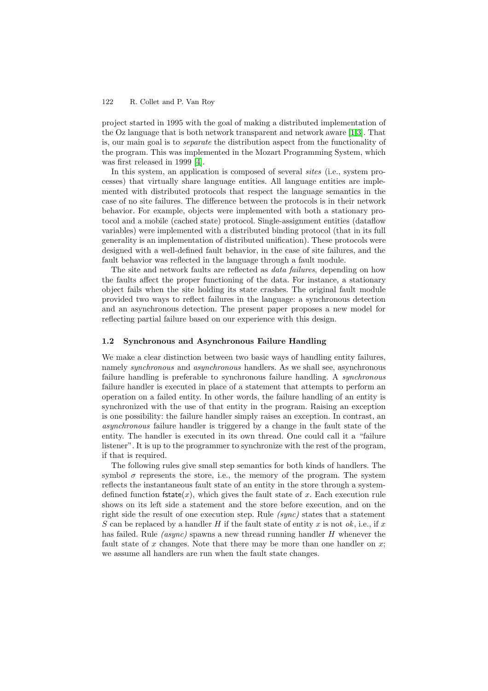project started in 1995 with the goal of making a distributed implementation of the Oz language that is both network transparent and network aware [1,3]. That is, our main goal is to separate the distribution aspect from the functionality of the program. This was implemented in the Mozart Programming System, which was first released in 1999 [4].

In this s[ys](#page-19-0)[tem](#page-19-2), an application is composed of several *sites* (i.e., system processes) that virtually share language entities. All language entities are implemented with distributed protocols that respect the language semantics in the case of no site failures. T[he](#page-19-3) difference between the protocols is in their network behavior. For example, objects were implemented with both a stationary protocol and a mobile (cached state) protocol. Single-assignment entities (dataflow variables) were implemented with a distributed binding protocol (that in its full generality is an implementation of distributed unification). These protocols were designed with a well-defined fault behavior, in the case of site failures, and the fault behavior was reflected in the language through a fault module.

The site and network faults are reflected as data failures, depending on how the faults affect the proper functioning of the data. For instance, a stationary object fails when the site holding its state crashes. The original fault module provided two ways to reflect failures in the language: a synchronous detection and an asynchronous detection. The present paper proposes a new model for reflecting partial failure based on our experience with this design.

#### **1.2 Synchronous and Asynchronous Failure Handling**

We make a clear distinction between two basic ways of handling entity failures, namely *synchronous* and *asynchronous* handlers. As we shall see, asynchronous failure handling is preferable to synchronous failure handling. A *synchronous* failure handler is executed in place of a statement that attempts to perform an operation on a failed entity. In other words, the failure handling of an entity is synchronized with the use of that entity in the program. Raising an exception is one possibility: the failure handler simply raises an exception. In contrast, an asynchronous failure handler is triggered by a change in the fault state of the entity. The handler is executed in its own thread. One could call it a "failure listener". It is up to the programmer to synchronize with the rest of the program, if that is required.

The following rules give small step semantics for both kinds of handlers. The symbol  $\sigma$  represents the store, i.e., the memory of the program. The system reflects the instantaneous fault state of an entity in the store through a systemdefined function first  $f(x)$ , which gives the fault state of x. Each execution rule shows on its left side a statement and the store before execution, and on the right side the result of one execution step. Rule  $(sync)$  states that a statement S can be replaced by a handler H if the fault state of entity x is not  $ok$ , i.e., if x has failed. Rule *(async)* spawns a new thread running handler H whenever the fault state of x changes. Note that there may be more than one handler on  $x$ ; we assume all handlers are run when the fault state changes.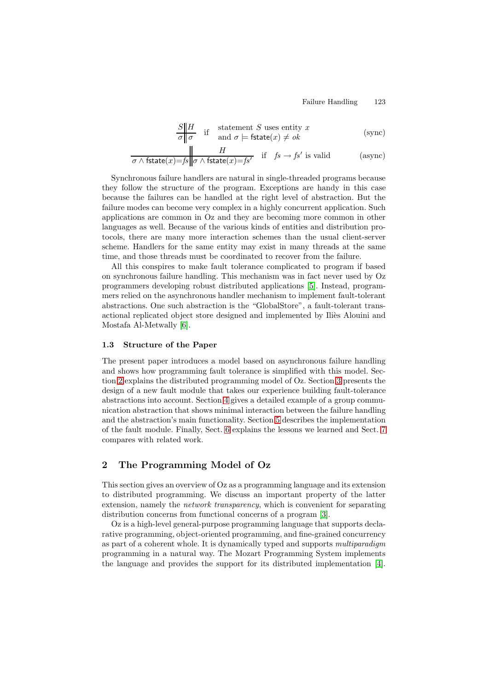$$
\frac{S||H}{\sigma||\sigma} \quad \text{if} \quad \frac{\text{statement } S \text{ uses entity } x}{\text{and } \sigma \models \text{fstate}(x) \neq ok} \tag{sync}
$$

$$
\frac{H}{\sigma \wedge \text{fstate}(x) = fs \mid \sigma \wedge \text{fstate}(x) = fs'} \quad \text{if} \quad fs \to fs' \text{ is valid} \tag{async}
$$

Synchronous failure handlers are natural in single-threaded programs because they follow the structure of the program. Exceptions are handy in this case because the failures can be handled at the right level of abstraction. But the failure modes can become very complex in a highly concurrent application. Such applications are common in Oz and they are becoming more common in other languages as well. Because of the various kinds of entities and distribution protocols, there are many more interaction schemes than the usual client-server scheme. Handlers for the same entity may exist in many threads at the same time, and those threads must be coordinated to recover from the failure.

All this conspires to make fault tolerance complicated to program if based on synchronous failure handling. This mechanism was in fact never used by Oz programmers developing robust distributed applications [5]. Instead, programmers relied on the asynchronous handler mechanism to implement fault-tolerant abstractions. One such abstraction is the "GlobalStore", a fault-tolerant transactional replicated object store designed and implemented by Iliès Alouini and Mostafa Al-Metwally [6].

#### **1.3 Structure of the Paper**

The present paper int[ro](#page-19-4)duces a model based on asynchronous failure handling and shows how programming fault tolerance is simplified with this model. Section 2 explains the distributed programming model of Oz. Section 3 presents the design of a new fault module that takes our experience building fault-tolerance abstractions into account. Section 4 gives a detailed example of a group communication abstraction that shows minimal interaction between the failure handling and [th](#page-2-0)e abstraction's main functionality. Section 5 describes the i[mp](#page-7-0)lementation of the fault module. Finally, Sect. 6 explains the lessons we learned and Sect. 7 compares with related work.

# **2 The Programming M[od](#page-17-0)el of Oz**

<span id="page-2-0"></span>This section gives an overview of Oz as a programming language and its extension to distributed programming. We discuss an important property of the latter extension, namely the *network transparency*, which is convenient for separating distribution concerns from functional concerns of a program [3].

Oz is a high-level general-purpose programming language that supports declarative programming, object-oriented programming, and fine-grained concurrency as part of a coherent whole. It is dynamically typed and supports multiparadigm programming in a natural way. The Mozart Programming S[ys](#page-19-2)tem implements the language and provides the support for its distributed implementation [4].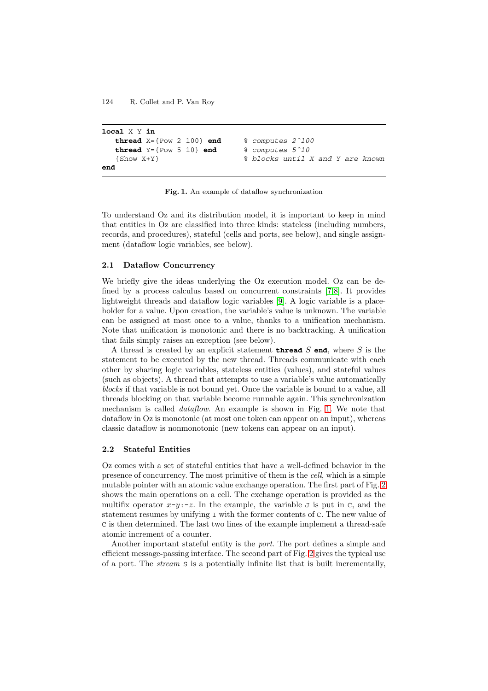```
local X Y in
  thread X={Pow 2 100} end % computes 2ˆ100
  thread Y={Pow 5 10} end % computes 5ˆ10
  {Show X+Y} % blocks until X and Y are known
end
```
Fig. 1. An example of dataflow synchronization

To understand Oz and its distribution model, it is important to keep in mind that entities in Oz are classified into three kinds: stateless (including numbers, records, and procedures), stateful (cells and ports, see below), and single assignment (dataflow logic variables, see below).

## **2.1 Dataflow Concurrency**

We briefly give the ideas underlying the Oz execution model. Oz can be defined by a process calculus based on concurrent constraints [7,8]. It provides lightweight threads and dataflow logic variables [9]. A logic variable is a placeholder for a value. Upon creation, the variable's value is unknown. The variable can be assigned at most once to a value, thanks to a unification mechanism. Note that unification is monotonic and there is no backtracki[ng](#page-19-5)[. A](#page-19-6) unification that fails simply raises an exception (see below).

A thread is created by an explicit statement **thread** S **end**, where S is the statement to be executed by the new thread. Threads communicate with each other by sharing logic variables, stateless entities (values), and stateful values (such as objects). A thread that attempts to use a variable's value automatically blocks if that variable is not bound yet. Once the variable is bound to a value, all threads blocking on that variable become runnable again. This synchronization mechanism is called *dataflow*. An example is shown in Fig. 1. We note that dataflow in Oz is monotonic (at most one token can appear on an input), whereas classic dataflow is nonmonotonic (new tokens can appear on an input).

## **2.2 Stateful Entities**

Oz comes with a set of stateful entities that have a well-defined behavior in the presence of concurrency. The most primitive of them is the cell, which is a simple mutable pointer with an atomic value exchange operation. The first part of Fig. 2 shows the main operations on a cell. The exchange operation is provided as the multifix operator  $x=y:=z$ . In the example, the variable  $\bar{J}$  is put in  $\bar{C}$ , and the statement resumes by unifying I with the former contents of C. The new value of C is then determined. The last two lines of the example implement a thread-sa[fe](#page-4-0) atomic increment of a counter.

Another important stateful entity is the *port*. The port defines a simple and efficient message-passing interface. The second part of Fig. 2 gives the typical use of a port. The stream S is a potentially infinite list that is built incrementally,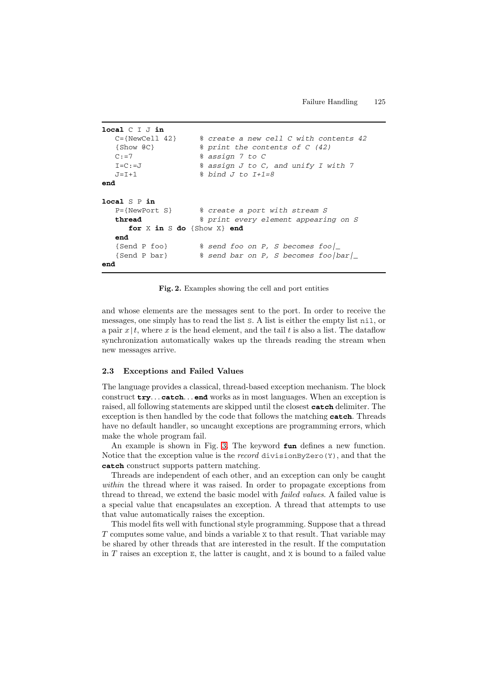```
local CIJ in
  C={NewCell 42} % create a new cell C with contents 42
  {Show @C} % print the contents of C (42)
  C:=7 & assign 7 to CI=C:=J % assign J to C, and unify I with 7
  J=I+1 \frac{1}{8} bind J to I+1=8end
local S P in
  P={NewPort S} % create a port with stream S
  thread % print every element appearing on S
     for X in S do {Show X} end
  end
  {Send P foo} % send foo on P, S becomes foo|_
  {Send P bar} % send bar on P, S becomes foo | bar |
end
```
**Fig. 2.** Examples showing the cell and port entities

<span id="page-4-0"></span>and whose elements are the messages sent to the port. In order to receive the messages, one simply has to read the list S. A list is either the empty list nil, or a pair  $x|t$ , where x is the head element, and the tail t is also a list. The dataflow synchronization automatically wakes up the threads reading the stream when new messages arrive.

#### **2.3 Exceptions and Failed Values**

The language provides a classical, thread-based exception mechanism. The block construct **try**... **catch**... **end** works as in most languages. When an exception is raised, all following statements are skipped until the closest **catch** delimiter. The exception is then handled by the code that follows the matching **catch**. Threads have no default handler, so uncaught exceptions are programming errors, which make the whole program fail.

An example is shown in Fig. 3. The keyword **fun** defines a new function. Notice that the exception value is the record division ByZero $(Y)$ , and that the **catch** construct supports pattern matching.

Threads are independent of each other, and an exception can only be caught within the thread where it was [rai](#page-5-0)sed. In order to propagate exceptions from thread to thread, we extend the basic model with *failed values*. A failed value is a special value that encapsulates an exception. A thread that attempts to use that value automatically raises the exception.

This model fits well with functional style programming. Suppose that a thread T computes some value, and binds a variable X to that result. That variable may be shared by other threads that are interested in the result. If the computation in  $T$  raises an exception  $E$ , the latter is caught, and  $X$  is bound to a failed value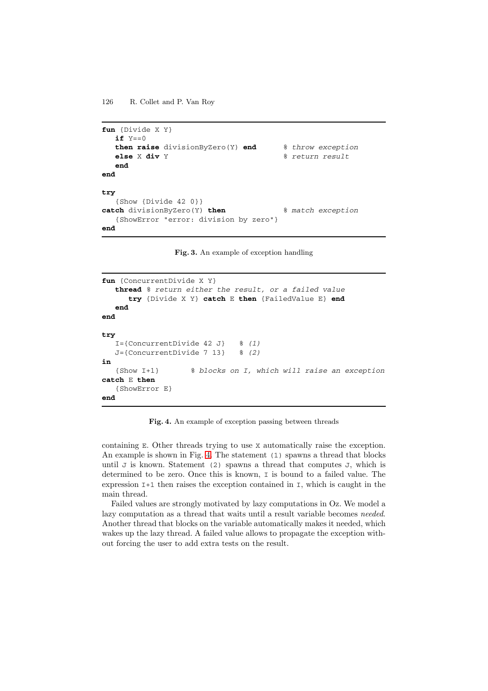```
fun {Divide X Y}
  if Y==0
  then raise divisionByZero(Y) end % throw exception
  else X div Y \frac{1}{2} else X div Y
  end
end
try
  {Show {Divide 42 0}}
catch divisionByZero(Y) then % match exception
  {ShowError "error: division by zero"}
end
```
**Fig. 3.** An example of exception handling

```
fun {ConcurrentDivide X Y}
  thread % return either the result, or a failed value
      try {Divide X Y} catch E then {FailedValue E} end
  end
end
try
   I={ConcurrentDivide 42 J} % (1)
  J={ConcurrentDivide 7 13} % (2)
in
   {Show I+1} % blocks on I, which will raise an exception
catch E then
   {ShowError E}
end
```
#### **Fig. 4.** An example of exception passing between threads

containing E. Other threads trying to use X automatically raise the exception. An example is shown in Fig. 4. The statement (1) spawns a thread that blocks until  $J$  is known. Statement (2) spawns a thread that computes  $J$ , which is determined to be zero. Once this is known, I is bound to a failed value. The expression  $I+1$  then raises the exception contained in  $I$ , which is caught in the main thread.

Failed values are strongly motivated by lazy computations in Oz. We model a lazy computation as a thread that waits until a result variable becomes needed. Another thread that blocks on the variable automatically makes it needed, which wakes up the lazy thread. A failed value allows to propagate the exception without forcing the user to add extra tests on the result.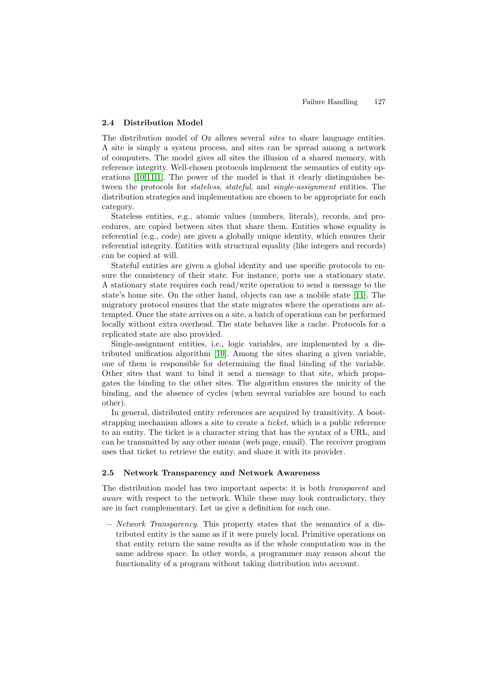#### **2.4 Distribution Model**

The distribution model of Oz allows several *sites* to share language entities. A site is simply a system process, and sites can be spread among a network of computers. The model gives all sites the illusion of a shared memory, with reference integrity. Well-chosen protocols implement the semantics of entity operations [10,11,1]. The power of the model is that it clearly distinguishes between the protocols for stateless, stateful, and single-assignment entities. The distribution strategies and implementation are chosen to be appropriate for each category.

Statel[ess](#page-19-7) [ent](#page-19-8)[it](#page-19-0)ies, e.g., atomic values (numbers, literals), records, and procedures, are copied between sites that share them. Entities whose equality is referential (e.g., code) are given a globally unique identity, which ensures their referential integrity. Entities with structural equality (like integers and records) can be copied at will.

Stateful entities are given a global identity and use specific protocols to ensure the consistency of their state. For instance, ports use a stationary state. A stationary state requires each read/write operation to send a message to the state's home site. On the other hand, objects can use a mobile state [11]. The migratory protocol ensures that the state migrates where the operations are attempted. Once the state arrives on a site, a batch of operations can be performed locally without extra overhead. The state behaves like a cache. Protocols for a replicated state are also provided.

Single-assignment entities, i.e., logic variables, are implemented by a distributed unification algorithm [10]. Among the sites sharing a given variable, one of them is responsible for determining the final binding of the variable. Other sites that want to bind it send a message to that site, which propagates the binding to the other sites. The algorithm ensures the unicity of the binding, and the absence of cy[cles](#page-19-7) (when several variables are bound to each other).

In general, distributed entity references are acquired by transitivity. A bootstrapping mechanism allows a site to create a ticket, which is a public reference to an entity. The ticket is a character string that has the syntax of a URL, and can be transmitted by any other means (web page, email). The receiver program uses that ticket to retrieve the entity, and share it with its provider.

#### **2.5 Network Transparency and Network Awareness**

The distribution model has two important aspects: it is both transparent and aware with respect to the network. While these may look contradictory, they are in fact complementary. Let us give a definition for each one.

**–** Network Transparency. This property states that the semantics of a distributed entity is the same as if it were purely local. Primitive operations on that entity return the same results as if the whole computation was in the same address space. In other words, a programmer may reason about the functionality of a program without taking distribution into account.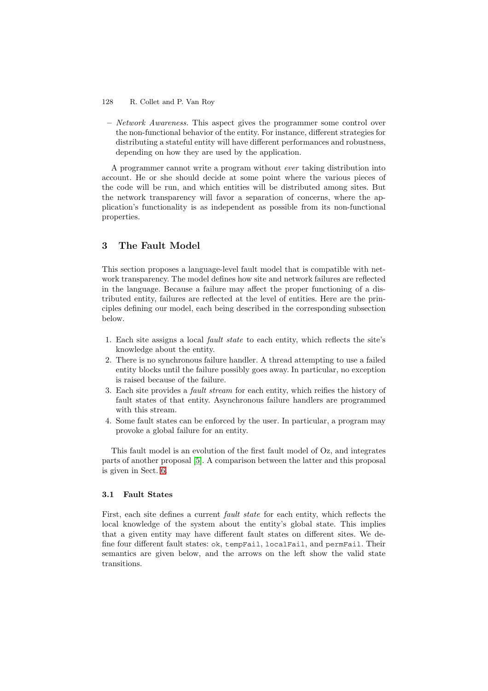- 128 R. Collet and P. Van Roy
- **–** Network Awareness. This aspect gives the programmer some control over the non-functional behavior of the entity. For instance, different strategies for distributing a stateful entity will have different performances and robustness, depending on how they are used by the application.

A programmer cannot write a program without ever taking distribution into account. He or she should decide at some point where the various pieces of the code will be run, and which entities will be distributed among sites. But the network transparency will favor a separation of concerns, where the application's functionality is as independent as possible from its non-functional properties.

# **3 The Fault Model**

<span id="page-7-0"></span>This section proposes a language-level fault model that is compatible with network transparency. The model defines how site and network failures are reflected in the language. Because a failure may affect the proper functioning of a distributed entity, failures are reflected at the level of entities. Here are the principles defining our model, each being described in the corresponding subsection below.

- 1. Each site assigns a local fault state to each entity, which reflects the site's knowledge about the entity.
- 2. There is no synchronous failure handler. A thread attempting to use a failed entity blocks until the failure possibly goes away. In particular, no exception is raised because of the failure.
- 3. Each site provides a fault stream for each entity, which reifies the history of fault states of that entity. Asynchronous failure handlers are programmed with this stream.
- 4. Some fault states can be enforced by the user. In particular, a program may provoke a global failure for an entity.

This fault model is an evolution of the first fault model of Oz, and integrates parts of another proposal [5]. A comparison between the latter and this proposal is given in Sect. 6.

### **3.1 Fault States**

First, each site [de](#page-17-0)fines a current fault state for each entity, which reflects the local knowledge of the system about the entity's global state. This implies that a given entity may have different fault states on different sites. We define four different fault states: ok, tempFail, localFail, and permFail. Their semantics are given below, and the arrows on the left show the valid state transitions.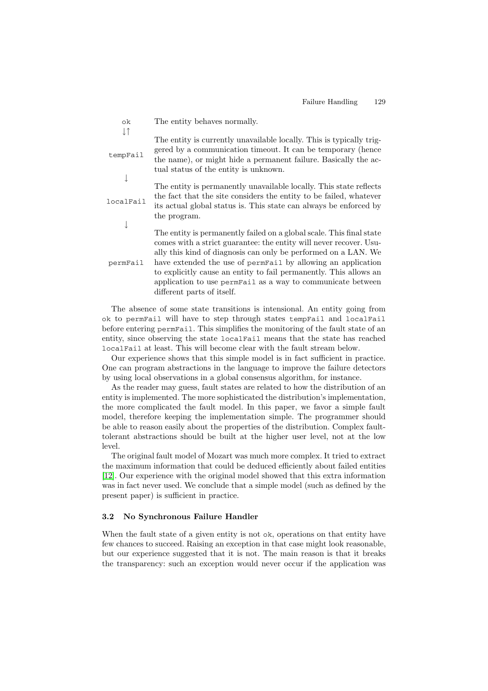| ok                    | The entity behaves normally.                                                                                                                                                                                                                                                                                                                       |
|-----------------------|----------------------------------------------------------------------------------------------------------------------------------------------------------------------------------------------------------------------------------------------------------------------------------------------------------------------------------------------------|
| $\downarrow \uparrow$ |                                                                                                                                                                                                                                                                                                                                                    |
| tempFail              | The entity is currently unavailable locally. This is typically trig-<br>gered by a communication timeout. It can be temporary (hence<br>the name), or might hide a permanent failure. Basically the ac-<br>tual status of the entity is unknown.                                                                                                   |
| ↓                     | The entity is permanently unavailable locally. This state reflects                                                                                                                                                                                                                                                                                 |
| localFail             | the fact that the site considers the entity to be failed, whatever<br>its actual global status is. This state can always be enforced by<br>the program.                                                                                                                                                                                            |
| ↓<br>permFail         | The entity is permanently failed on a global scale. This final state<br>comes with a strict guarantee: the entity will never recover. Usu-<br>ally this kind of diagnosis can only be performed on a LAN. We<br>have extended the use of permetail by allowing an application<br>to explicitly cause an entity to fail permanently. This allows an |
|                       | application to use permeterial as a way to communicate between<br>different parts of itself.                                                                                                                                                                                                                                                       |

The absence of some state transitions is intensional. An entity going from ok to permFail will have to step through states tempFail and localFail before entering permFail. This simplifies the monitoring of the fault state of an entity, since observing the state localFail means that the state has reached localFail at least. This will become clear with the fault stream below.

Our experience shows that this simple model is in fact sufficient in practice. One can program abstractions in the language to improve the failure detectors by using local observations in a global consensus algorithm, for instance.

As the reader may guess, fault states are related to how the distribution of an entity is implemented. The more sophisticated the distribution's implementation, the more complicated the fault model. In this paper, we favor a simple fault model, therefore keeping the implementation simple. The programmer should be able to reason easily about the properties of the distribution. Complex faulttolerant abstractions should be built at the higher user level, not at the low level.

The original fault model of Mozart was much more complex. It tried to extract the maximum information that could be deduced efficiently about failed entities [12]. Our experience with the original model showed that this extra information was in fact never used. We conclude that a simple model (such as defined by the present paper) is sufficient in practice.

#### **[3.2](#page-19-9) No Synchronous Failure Handler**

When the fault state of a given entity is not ok, operations on that entity have few chances to succeed. Raising an exception in that case might look reasonable, but our experience suggested that it is not. The main reason is that it breaks the transparency: such an exception would never occur if the application was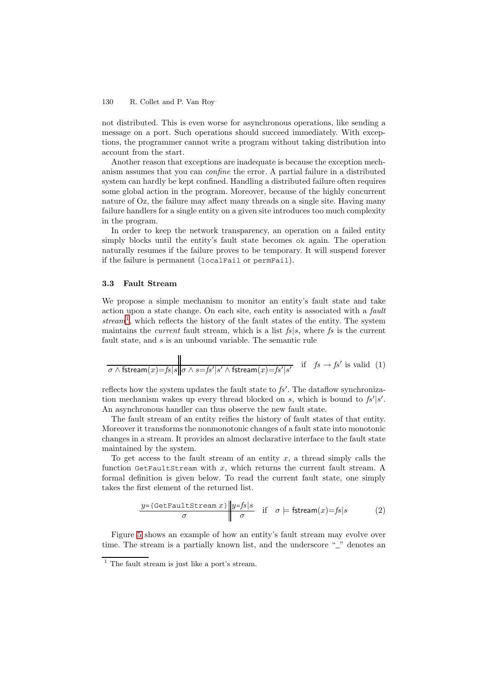not distributed. This is even worse for asynchronous operations, like sending a message on a port. Such operations should succeed immediately. With exceptions, the programmer cannot write a program without taking distribution into account from the start.

Another reason that exceptions are inadequate is because the exception mechanism assumes that you can confine the error. A partial failure in a distributed system can hardly be kept confined. Handling a distributed failure often requires some global action in the program. Moreover, because of the highly concurrent nature of Oz, the failure may affect many threads on a single site. Having many failure handlers for a single entity on a given site introduces too much complexity in the program.

In order to keep the network transparency, an operation on a failed entity simply blocks until the entity's fault state becomes ok again. The operation naturally resumes if the failure proves to be temporary. It will suspend forever if the failure is permanent (localFail or permFail).

## **3.3 Fault Stream**

We propose a simple mechanism to monitor an entity's fault state and take action upon a state change. On each site, each entity is associated with a fault  $stream<sup>1</sup>$ , which reflects the history of the fault states of the entity. The system maintains the *current* fault stream, which is a list  $fs|s$ , where fs is the current fault state, and s is an unbound variable. The semantic rule

$$
\sigma \wedge \text{fstream}(x) = \text{fs} |s| \sigma \wedge s = \text{fs}' |s' \wedge \text{fstream}(x) = \text{fs}' |s' \text{ if } f s \to \text{fs}' \text{ is valid (1)}
$$

reflects how the system updates the fault state to  $fs'$ . The dataflow synchronization mechanism wakes up every thread blocked on s, which is bound to  $fs'|s'$ . An asynchronous handler can thus observe the new fault state.

The fault stream of an entity reifies the history of fault states of that entity. Moreover it transforms the nonmonotonic changes of a fault state into monotonic changes in a stream. It provides an almost declarative interface to the fault state maintained by the system.

To get access to the fault stream of an entity  $x$ , a thread simply calls the function GetFaultStream with x, which returns the current fault stream. A formal definition is given below. To read the current fault state, one simply takes the first element of the returned list.

$$
\underbrace{y = \{\text{GetFaultStream } x\}}_{\sigma} \underbrace{\|y = fs\|s}_{\sigma} \quad \text{if} \quad \sigma \models \text{fstream}(x) = fs|s \tag{2}
$$

Figure 5 shows an example of how an entity's fault stream may evolve over time. The stream is a partially known list, and the underscore "\_" denotes an

 $\ddot{\phantom{a}}$ 

 $<sup>1</sup>$  The fault stream is just like a port's stream.</sup>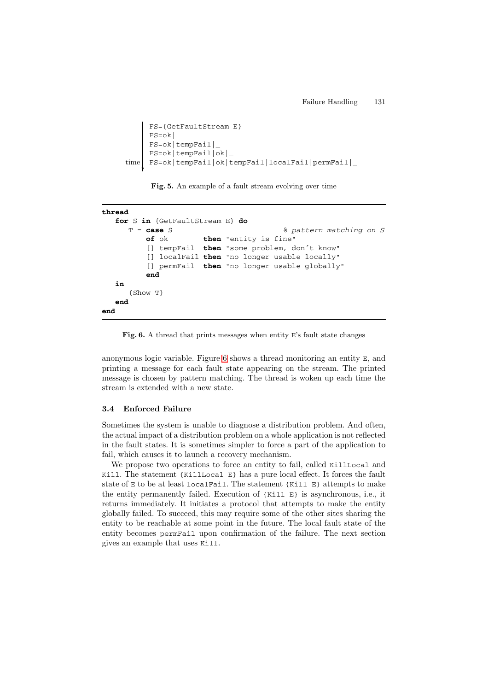```
time
     FS={GetFaultStream E}
     FS=ok\vertFS=ok|tempFail|_
     FS=ok|tempFail|ok|_
     FS=ok|tempFail|ok|tempFail|localFail|permFail|_
```
**Fig. 5.** An example of a fault stream evolving over time

```
thread
   for S in {GetFaultStream E} do
     T = case S \frac{1}{2} example 3 % pattern matching on S
         of ok then "entity is fine"
          [] tempFail then "some problem, don´t know"
          [] localFail then "no longer usable locally"
          [] permFail then "no longer usable globally"
         end
   in
      {Show T}
   end
end
```
Fig. 6. A thread that prints messages when entity E's fault state changes

anonymous logic variable. Figure 6 shows a thread monitoring an entity E, and printing a message for each fault state appearing on the stream. The printed message is chosen by pattern matching. The thread is woken up each time the stream is extended with a new state.

## **3.4 Enforced Failure**

Sometimes the system is unable to diagnose a distribution problem. And often, the actual impact of a distribution problem on a whole application is not reflected in the fault states. It is sometimes simpler to force a part of the application to fail, which causes it to launch a recovery mechanism.

We propose two operations to force an entity to fail, called KillLocal and Kill. The statement {KillLocal E} has a pure local effect. It forces the fault state of  $E$  to be at least localFail. The statement  $\{$ Kill  $E\}$  attempts to make the entity permanently failed. Execution of {Kill E} is asynchronous, i.e., it returns immediately. It initiates a protocol that attempts to make the entity globally failed. To succeed, this may require some of the other sites sharing the entity to be reachable at some point in the future. The local fault state of the entity becomes permFail upon confirmation of the failure. The next section gives an example that uses Kill.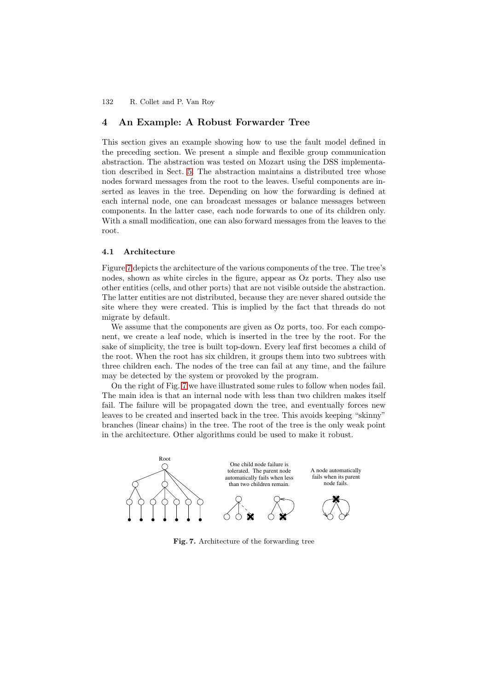## **4 An Example: A Robust Forwarder Tree**

This section gives an example showing how to use the fault model defined in the preceding section. We present a simple and flexible group communication abstraction. The abstraction was tested on Mozart using the DSS implementation described in Sect. 5. The abstraction maintains a distributed tree whose nodes forward messages from the root to the leaves. Useful components are inserted as leaves in the tree. Depending on how the forwarding is defined at each internal node, one can broadcast messages or balance messages between components. In the lat[ter](#page-16-0) case, each node forwards to one of its children only. With a small modification, one can also forward messages from the leaves to the root.

## **4.1 Architecture**

Figure 7 depicts the architecture of the various components of the tree. The tree's nodes, shown as white circles in the figure, appear as Oz ports. They also use other entities (cells, and other ports) that are not visible outside the abstraction. The latter entities are not distributed, because they are never shared outside the site w[her](#page-11-0)e they were created. This is implied by the fact that threads do not migrate by default.

We assume that the components are given as Oz ports, too. For each component, we create a leaf node, which is inserted in the tree by the root. For the sake of simplicity, the tree is built top-down. Every leaf first becomes a child of the root. When the root has six children, it groups them into two subtrees with three children each. The nodes of the tree can fail at any time, and the failure may be detected by the system or provoked by the program.

On the right of Fig. 7 we have illustrated some rules to follow when nodes fail. The main idea is that an internal node with less than two children makes itself fail. The failure will be propagated down the tree, and eventually forces new leaves to be created and inserted back in the tree. This avoids keeping "skinny" branches (linear chain[s\)](#page-11-0) in the tree. The root of the tree is the only weak point in the architecture. Other algorithms could be used to make it robust.



<span id="page-11-0"></span>**Fig. 7.** Architecture of the forwarding tree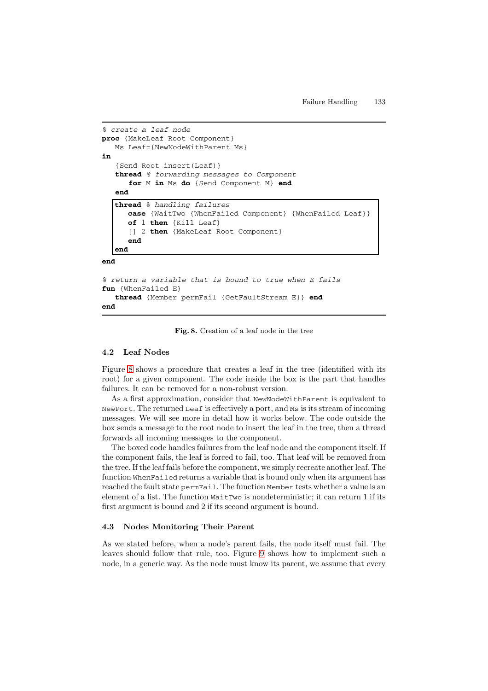```
% create a leaf node
proc {MakeLeaf Root Component}
   Ms Leaf={NewNodeWithParent Ms}
in
   {Send Root insert(Leaf)}
   thread % forwarding messages to Component
      for M in Ms do {Send Component M} end
   end
   thread % handling failures
      case {WaitTwo {WhenFailed Component} {WhenFailed Leaf}}
      of 1 then {Kill Leaf}
      [] 2 then {MakeLeaf Root Component}
      end
   end
```
**end**

```
% return a variable that is bound to true when E fails
fun {WhenFailed E}
   thread {Member permFail {GetFaultStream E}} end
end
```
**Fig. 8.** Creation of a leaf node in the tree

## **4.2 Leaf Nodes**

<span id="page-12-0"></span>Figure 8 shows a procedure that creates a leaf in the tree (identified with its root) for a given component. The code inside the box is the part that handles failures. It can be removed for a non-robust version.

As a first approximation, consider that NewNodeWithParent is equivalent to NewPo[rt](#page-12-0). The returned Leaf is effectively a port, and Ms is its stream of incoming messages. We will see more in detail how it works below. The code outside the box sends a message to the root node to insert the leaf in the tree, then a thread forwards all incoming messages to the component.

The boxed code handles failures from the leaf node and the component itself. If the component fails, the leaf is forced to fail, too. That leaf will be removed from the tree. If the leaf fails before the component, we simply recreate another leaf. The function WhenFailed returns a variable that is bound only when its argument has reached the fault state permFail. The function Member tests whether a value is an element of a list. The function WaitTwo is nondeterministic; it can return 1 if its first argument is bound and 2 if its second argument is bound.

### **4.3 Nodes Monitoring Their Parent**

As we stated before, when a node's parent fails, the node itself must fail. The leaves should follow that rule, too. Figure 9 shows how to implement such a node, in a generic way. As the node must know its parent, we assume that every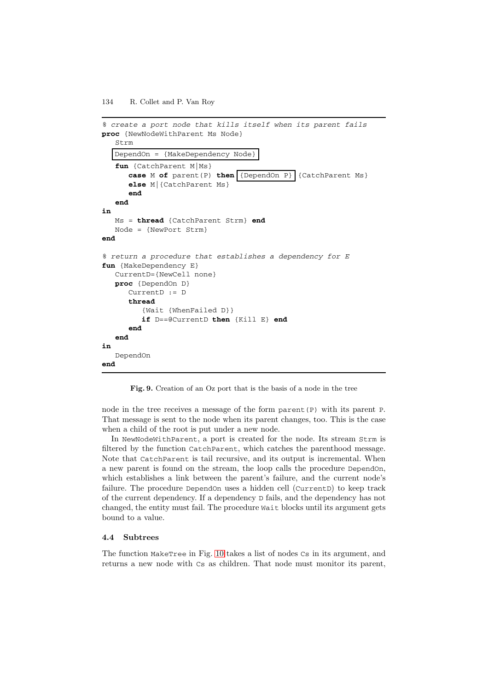```
% create a port node that kills itself when its parent fails
proc {NewNodeWithParent Ms Node}
   Strm
   DependOn = {MakeDependency Node}
   fun {CatchParent M|Ms}
      case M of parent(P) then {DependOn P} {CatchParent Ms}
      else M|{CatchParent Ms}
      end
   end
in
   Ms = thread {CatchParent Strm} end
   Node = {NewPort Strm}
end
% return a procedure that establishes a dependency for E
fun {MakeDependency E}
   CurrentD={NewCell none}
   proc {DependOn D}
      CurrentD := D
      thread
         {Wait {WhenFailed D}}
         if D==@CurrentD then {Kill E} end
      end
   end
in
   DependOn
end
```
**Fig. 9.** Creation of an Oz port that is the basis of a node in the tree

node in the tree receives a message of the form parent(P) with its parent P. That message is sent to the node when its parent changes, too. This is the case when a child of the root is put under a new node.

In NewNodeWithParent, a port is created for the node. Its stream Strm is filtered by the function CatchParent, which catches the parenthood message. Note that CatchParent is tail recursive, and its output is incremental. When a new parent is found on the stream, the loop calls the procedure DependOn, which establishes a link between the parent's failure, and the current node's failure. The procedure DependOn uses a hidden cell (CurrentD) to keep track of the current dependency. If a dependency D fails, and the dependency has not changed, the entity must fail. The procedure Wait blocks until its argument gets bound to a value.

## **4.4 Subtrees**

The function MakeTree in Fig. 10 takes a list of nodes Cs in its argument, and returns a new node with Cs as children. That node must monitor its parent,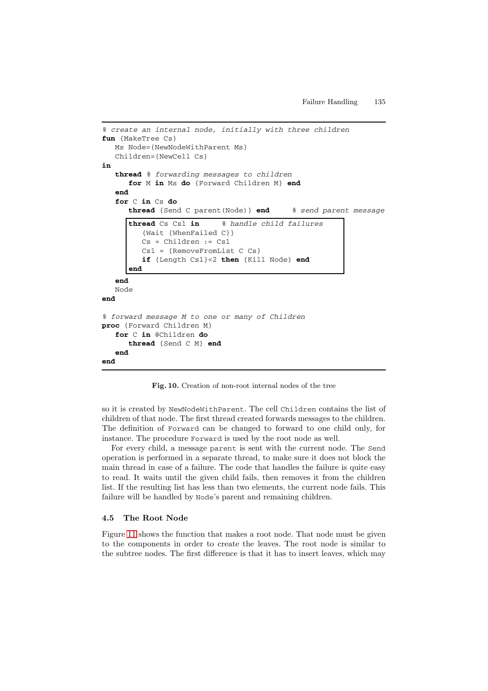```
% create an internal node, initially with three children
fun {MakeTree Cs}
  Ms Node={NewNodeWithParent Ms}
   Children={NewCell Cs}
in
   thread % forwarding messages to children
      for M in Ms do {Forward Children M} end
   end
   for C in Cs do
      thread {Send C parent(Node)} end % send parent message
      thread Cs Cs1 in % handle child failures
         {Wait {WhenFailed C}}
         Cs = Children := Cs1
         Cs1 = {RemoveFromList C Cs}
         if {Length Cs1}<2 then {Kill Node} end
      end
   end
  Node
end
% forward message M to one or many of Children
proc {Forward Children M}
   for C in @Children do
      thread {Send C M} end
   end
end
```
**Fig. 10.** Creation of non-root internal nodes of the tree

so it is created by NewNodeWithParent. The cell Children contains the list of children of that node. The first thread created forwards messages to the children. The definition of Forward can be changed to forward to one child only, for instance. The procedure Forward is used by the root node as well.

For every child, a message parent is sent with the current node. The Send operation is performed in a separate thread, to make sure it does not block the main thread in case of a failure. The code that handles the failure is quite easy to read. It waits until the given child fails, then removes it from the children list. If the resulting list has less than two elements, the current node fails. This failure will be handled by Node's parent and remaining children.

## **4.5 The Root Node**

Figure 11 shows the function that makes a root node. That node must be given to the components in order to create the leaves. The root node is similar to the subtree nodes. The first difference is that it has to insert leaves, which may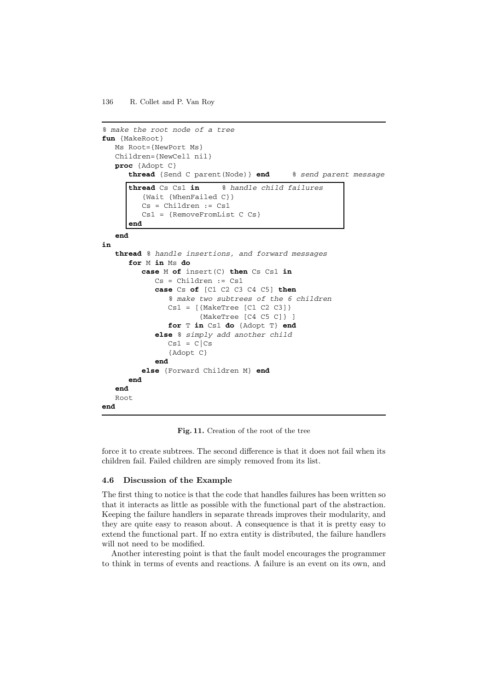```
% make the root node of a tree
fun {MakeRoot}
  Ms Root={NewPort Ms}
  Children={NewCell nil}
  proc {Adopt C}
      thread {Send C parent(Node)} end % send parent message
      thread Cs Cs1 in % handle child failures
         {Wait {WhenFailed C}}
         Cs = Children := Cs1
         Cs1 = {RemoveFromList C Cs}
      end
   end
in
   thread % handle insertions, and forward messages
      for M in Ms do
         case M of insert(C) then Cs Cs1 in
            Cs = Children := Cs1
            case Cs of [C1 C2 C3 C4 C5] then
               % make two subtrees of the 6 children
               Cs1 = [{MakeTree [C1 C2 C3]}
                      {MakeTree [C4 C5 C]} ]
               for T in Cs1 do {Adopt T} end
            else % simply add another child
               Cs1 = C|Cs{Adopt C}
            end
         else {Forward Children M} end
      end
   end
  Root
end
```
**Fig. 11.** Creation of the root of the tree

force it to create subtrees. The second difference is that it does not fail when its children fail. Failed children are simply removed from its list.

## **4.6 Discussion of the Example**

The first thing to notice is that the code that handles failures has been written so that it interacts as little as possible with the functional part of the abstraction. Keeping the failure handlers in separate threads improves their modularity, and they are quite easy to reason about. A consequence is that it is pretty easy to extend the functional part. If no extra entity is distributed, the failure handlers will not need to be modified.

Another interesting point is that the fault model encourages the programmer to think in terms of events and reactions. A failure is an event on its own, and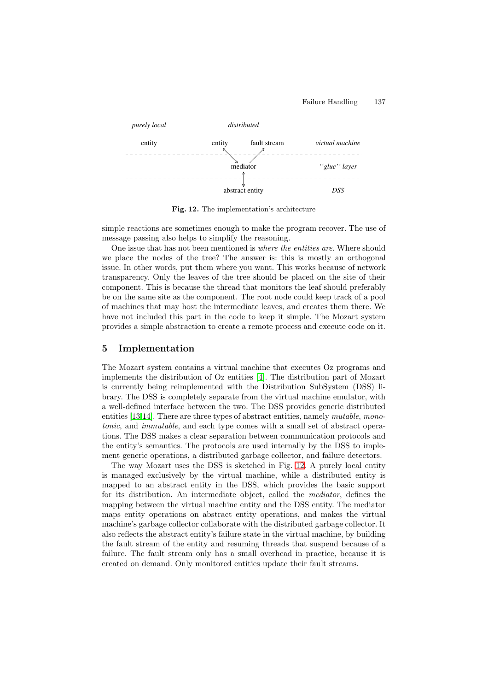

**Fig. 12.** The implementation's architecture

simple reactions are sometimes enough to make the program recover. The use of message passing also helps to simplify the reasoning.

<span id="page-16-1"></span>One issue that has not been mentioned is where the entities are. Where should we place the nodes of the tree? The answer is: this is mostly an orthogonal issue. In other words, put them where you want. This works because of network transparency. Only the leaves of the tree should be placed on the site of their component. This is because the thread that monitors the leaf should preferably be on the same site as the component. The root node could keep track of a pool of machines that may host the intermediate leaves, and creates them there. We have not included this part in the code to keep it simple. The Mozart system provides a simple abstraction to create a remote process and execute code on it.

## **5 Implementation**

<span id="page-16-0"></span>The Mozart system contains a virtual machine that executes Oz programs and implements the distribution of Oz entities [4]. The distribution part of Mozart is currently being reimplemented with the Distribution SubSystem (DSS) library. The DSS is completely separate from the virtual machine emulator, with a well-defined interface between the two. The DSS provides generic distributed entities [13,14]. There are three types of abs[tra](#page-19-3)ct entities, namely *mutable, mono*tonic, and immutable, and each type comes with a small set of abstract operations. The DSS makes a clear separation between communication protocols and the entity's semantics. The protocols are used internally by the DSS to implement ge[ner](#page-19-10)[ic o](#page-19-11)perations, a distributed garbage collector, and failure detectors.

The way Mozart uses the DSS is sketched in Fig. 12. A purely local entity is managed exclusively by the virtual machine, while a distributed entity is mapped to an abstract entity in the DSS, which provides the basic support for its distribution. An intermediate object, called the mediator, defines the mapping between the virtual machine entity and the [DSS](#page-16-1) entity. The mediator maps entity operations on abstract entity operations, and makes the virtual machine's garbage collector collaborate with the distributed garbage collector. It also reflects the abstract entity's failure state in the virtual machine, by building the fault stream of the entity and resuming threads that suspend because of a failure. The fault stream only has a small overhead in practice, because it is created on demand. Only monitored entities update their fault streams.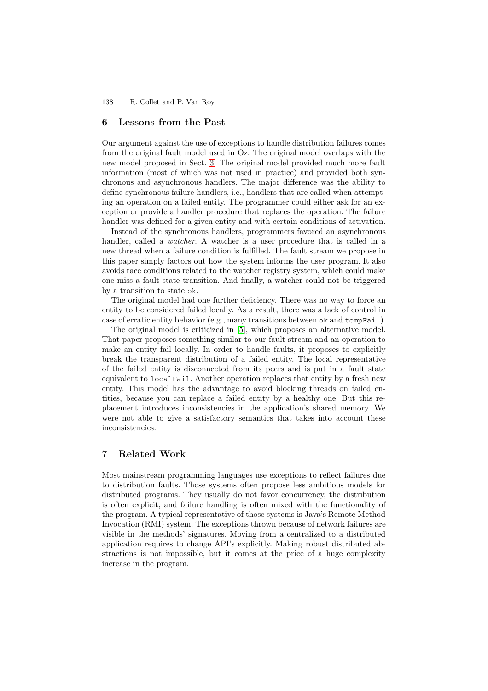## **6 Lessons from the Past**

<span id="page-17-0"></span>Our argument against the use of exceptions to handle distribution failures comes from the original fault model used in Oz. The original model overlaps with the new model proposed in Sect. 3. The original model provided much more fault information (most of which was not used in practice) and provided both synchronous and asynchronous handlers. The major difference was the ability to define synchronous failure handlers, i.e., handlers that are called when attempting an operation on a failed e[nti](#page-7-0)ty. The programmer could either ask for an exception or provide a handler procedure that replaces the operation. The failure handler was defined for a given entity and with certain conditions of activation.

Instead of the synchronous handlers, programmers favored an asynchronous handler, called a *watcher*. A watcher is a user procedure that is called in a new thread when a failure condition is fulfilled. The fault stream we propose in this paper simply factors out how the system informs the user program. It also avoids race conditions related to the watcher registry system, which could make one miss a fault state transition. And finally, a watcher could not be triggered by a transition to state ok.

The original model had one further deficiency. There was no way to force an entity to be considered failed locally. As a result, there was a lack of control in case of erratic entity behavior (e.g., many transitions between ok and tempFail).

The original model is criticized in [5], which proposes an alternative model. That paper proposes something similar to our fault stream and an operation to make an entity fail locally. In order to handle faults, it proposes to explicitly break the transparent distribution of a failed entity. The local representative of the failed entity is disconnected fr[om](#page-19-12) its peers and is put in a fault state equivalent to localFail. Another operation replaces that entity by a fresh new entity. This model has the advantage to avoid blocking threads on failed entities, because you can replace a failed entity by a healthy one. But this replacement introduces inconsistencies in the application's shared memory. We were not able to give a satisfactory semantics that takes into account these inconsistencies.

# **7 Related Work**

Most mainstream programming languages use exceptions to reflect failures due to distribution faults. Those systems often propose less ambitious models for distributed programs. They usually do not favor concurrency, the distribution is often explicit, and failure handling is often mixed with the functionality of the program. A typical representative of those systems is Java's Remote Method Invocation (RMI) system. The exceptions thrown because of network failures are visible in the methods' signatures. Moving from a centralized to a distributed application requires to change API's explicitly. Making robust distributed abstractions is not impossible, but it comes at the price of a huge complexity increase in the program.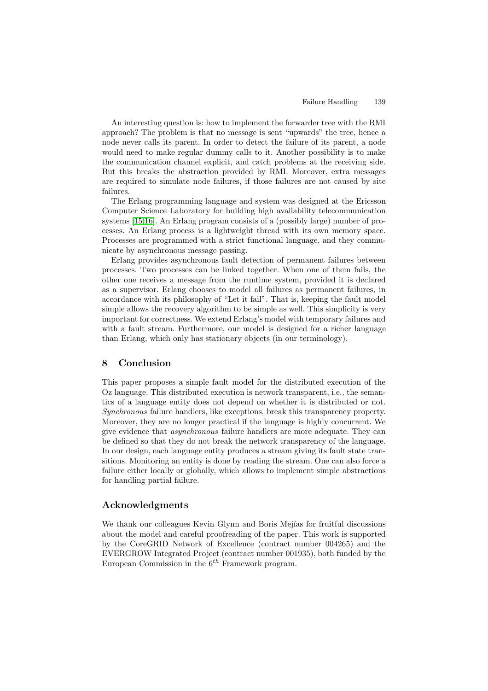An interesting question is: how to implement the forwarder tree with the RMI approach? The problem is that no message is sent "upwards" the tree, hence a node never calls its parent. In order to detect the failure of its parent, a node would need to make regular dummy calls to it. Another possibility is to make the communication channel explicit, and catch problems at the receiving side. But this breaks the abstraction provided by RMI. Moreover, extra messages are required to simulate node failures, if those failures are not caused by site failures.

The Erlang programming language and system was designed at the Ericsson Computer Science Laboratory for building high availability telecommunication systems [15,16]. An Erlang program consists of a (possibly large) number of processes. An Erlang process is a lightweight thread with its own memory space. Processes are programmed with a strict functional language, and they communicate by asynchronous message passing.

Erlan[g p](#page-19-13)[rov](#page-19-14)ides asynchronous fault detection of permanent failures between processes. Two processes can be linked together. When one of them fails, the other one receives a message from the runtime system, provided it is declared as a supervisor. Erlang chooses to model all failures as permanent failures, in accordance with its philosophy of "Let it fail". That is, keeping the fault model simple allows the recovery algorithm to be simple as well. This simplicity is very important for correctness. We extend Erlang's model with temporary failures and with a fault stream. Furthermore, our model is designed for a richer language than Erlang, which only has stationary objects (in our terminology).

## **8 Conclusion**

This paper proposes a simple fault model for the distributed execution of the Oz language. This distributed execution is network transparent, i.e., the semantics of a language entity does not depend on whether it is distributed or not. Synchronous failure handlers, like exceptions, break this transparency property. Moreover, they are no longer practical if the language is highly concurrent. We give evidence that asynchronous failure handlers are more adequate. They can be defined so that they do not break the network transparency of the language. In our design, each language entity produces a stream giving its fault state transitions. Monitoring an entity is done by reading the stream. One can also force a failure either locally or globally, which allows to implement simple abstractions for handling partial failure.

# **Acknowledgments**

We thank our colleagues Kevin Glynn and Boris Mejías for fruitful discussions about the model and careful proofreading of the paper. This work is supported by the CoreGRID Network of Excellence (contract number 004265) and the EVERGROW Integrated Project (contract number 001935), both funded by the European Commission in the  $6^{th}$  Framework program.